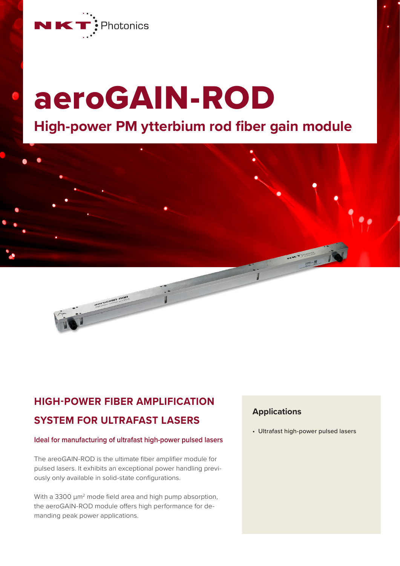

# aeroGAIN-ROD **High-power PM ytterbium rod fiber gain module**



## **HIGH-POWER FIBER AMPLIFICATION SYSTEM FOR ULTRAFAST LASERS**

#### **Ideal for manufacturing of ultrafast high-power pulsed lasers**

The areoGAIN-ROD is the ultimate fiber amplifier module for pulsed lasers. It exhibits an exceptional power handling previously only available in solid-state configurations.

With a 3300  $\mu$ m<sup>2</sup> mode field area and high pump absorption, the aeroGAIN-ROD module offers high performance for demanding peak power applications.

#### **Applications**

• Ultrafast high-power pulsed lasers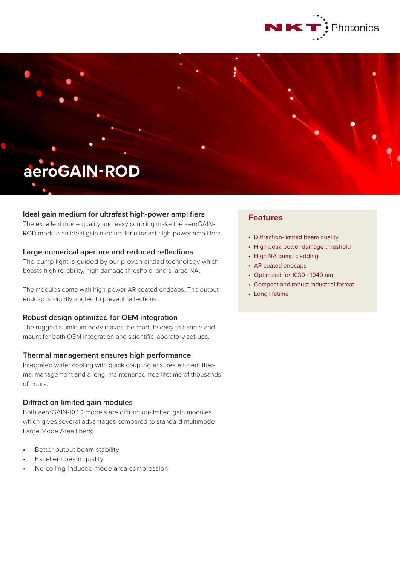

# **aeroGAIN-ROD**

#### **Ideal gain medium for ultrafast high-power amplifiers**

The excellent mode quality and easy coupling make the aeroGAIN-ROD module an ideal gain medium for ultrafast high-power amplifiers.

#### **Large numerical aperture and reduced reflections**

The pump light is guided by our proven airclad technology which boasts high reliability, high damage threshold, and a large NA.

The modules come with high-power AR coated endcaps. The output endcap is slightly angled to prevent reflections.

#### **Robust design optimized for OEM integration**

The rugged aluminum body makes the module easy to handle and mount for both OEM integration and scientific laboratory set-ups.

#### **Thermal management ensures high performance**

Integrated water cooling with quick coupling ensures efficient thermal management and a long, maintenance-free lifetime of thousands of hours.

#### **Diffraction-limited gain modules**

Both aeroGAIN-ROD models are diffraction-limited gain modules which gives several advantages compared to standard multimode Large Mode Area fibers:

- Better output beam stability
- Excellent beam quality
- No coiling-induced mode area compression

### **Features**

- Diffraction-limited beam quality
- High peak power damage threshold
- High NA pump cladding
- AR coated endcaps
- Optimized for 1030 1040 nm
- Compact and robust industrial format
- Long lifetime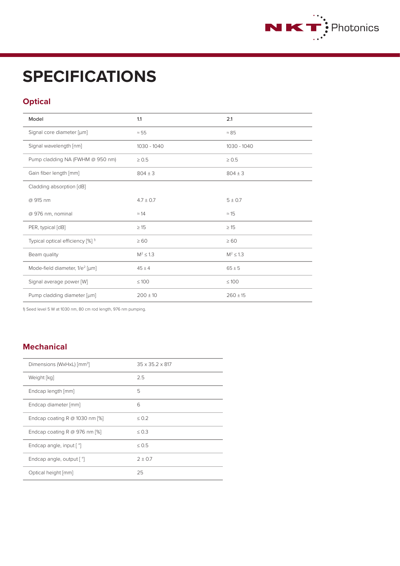

## **SPECIFICATIONS**

## **Optical**

| Model                                        | 1.1            | 2.1           |
|----------------------------------------------|----------------|---------------|
| Signal core diameter [µm]                    | $\approx$ 55   | $\approx 85$  |
| Signal wavelength [nm]                       | 1030 - 1040    | 1030 - 1040   |
| Pump cladding NA (FWHM @ 950 nm)             | $\geq 0.5$     | $\geq 0.5$    |
| Gain fiber length [mm]                       | $804 \pm 3$    | $804 \pm 3$   |
| Cladding absorption [dB]                     |                |               |
| @ 915 nm                                     | $4.7 \pm 0.7$  | $5 \pm 0.7$   |
| @ 976 nm, nominal                            | $\approx$ 14   | $\approx$ 15  |
| PER, typical [dB]                            | $\geq 15$      | $\geq$ 15     |
| Typical optical efficiency [%] <sup>1)</sup> | $\geq 60$      | $\geq 60$     |
| Beam quality                                 | $M^2 \leq 1.3$ | $M^2 \le 1.3$ |
| Mode-field diameter, 1/e <sup>2</sup> [µm]   | $45 \pm 4$     | $65 \pm 5$    |
| Signal average power [W]                     | $\leq 100$     | $\leq 100$    |
| Pump cladding diameter [µm]                  | $200 \pm 10$   | $260 \pm 15$  |

1) Seed level 5 W at 1030 nm, 80 cm rod length, 976 nm pumping.

## **Mechanical**

| Dimensions (WxHxL) [mm <sup>3</sup> ] | $35 \times 35.2 \times 817$ |
|---------------------------------------|-----------------------------|
| Weight [kg]                           | 2.5                         |
| Endcap length [mm]                    | 5                           |
| Endcap diameter [mm]                  | 6                           |
| Endcap coating R $@$ 1030 nm [%]      | < 0.2                       |
| Endcap coating R @ 976 nm [%]         | < 0.3                       |
| Endcap angle, input [ °]              | 0.5                         |
| Endcap angle, output [ °]             | $2 + 0.7$                   |
| Optical height [mm]                   | 25                          |